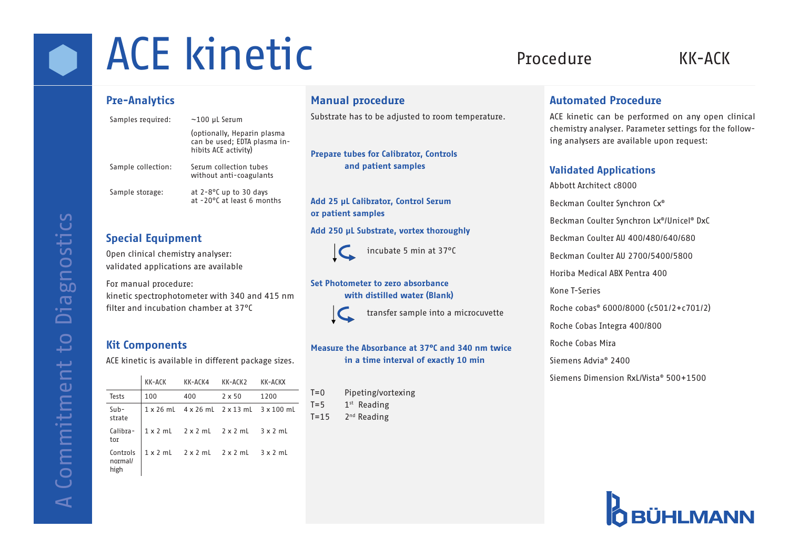# **CE kinetic** Procedure KK-ACK

#### Pre-Analytics

| Samples required:  | $~100$ µL Serum                                                                     |     |
|--------------------|-------------------------------------------------------------------------------------|-----|
|                    | (optionally, Heparin plasma<br>can be used; EDTA plasma in-<br>hibits ACE activity) | Pre |
| Sample collection: | Serum collection tubes<br>without anti-coagulants                                   |     |
| Sample storage:    | at 2-8°C up to 30 days<br>at -20°C at least 6 months                                |     |

#### Special Equipment

Open clinical chemistry analyser: validated applications are available

For manual procedure: kinetic spectrophotometer with 340 and 415 nm filter and incubation chamber at 37°C

#### Kit Components

ACE kinetic is available in different package sizes.

|                             | KK-ACK | KK-ACK4                                         | KK-ACK2                         | КК-АСКХ                                                              |
|-----------------------------|--------|-------------------------------------------------|---------------------------------|----------------------------------------------------------------------|
| Tests                       | 100    | 400                                             | $2 \times 50$                   | 1200                                                                 |
| $Sub-$<br>strate            |        |                                                 |                                 | $1 \times 26$ mL $4 \times 26$ mL $2 \times 13$ mL $3 \times 100$ mL |
| Calibra-<br>tor             |        |                                                 | $1x2ml$ $2x2ml$ $2x2ml$ $3x2ml$ |                                                                      |
| Controls<br>normal/<br>high |        | $1 \times 2$ mL $2 \times 2$ mL $2 \times 2$ mL |                                 | 3 x 2 mL                                                             |

### Manual procedure

ostrate has to be adjusted to room temperature.

pare tubes for Calibrator, Controls and patient samples

#### d 25 µL Calibrator, Control Serum or patient samples

#### Add 250 µL Substrate, vortex thoroughly



incubate 5 min at 37°C

#### Set Photometer to zero absorbance with distilled water (Blank)



transfer sample into a microcuvette

#### Measure the Absorbance at 37°C and 340 nm twice in a time interval of exactly 10 min

T=0 Pipeting/vortexing  $T=5$  1st Reading  $T=15$  2<sup>nd</sup> Reading

#### Automated Procedure

ACE kinetic can be performed on any open clinical chemistry analyser. Parameter settings for the following analysers are available upon request:

#### Validated Applications

Abbott Architect c8000 Beckman Coulter Synchron Cx® Beckman Coulter Synchron Lx®/Unicel® DxC Beckman Coulter AU 400/480/640/680 Beckman Coulter AU 2700/5400/5800 Horiba Medical ABX Pentra 400 Kone T-Series Roche cobas® 6000/8000 (c501/2+c701/2) Roche Cobas Integra 400/800 Roche Cobas Mira Siemens Advia® 2400 Siemens Dimension RxL/Vista® 500+1500